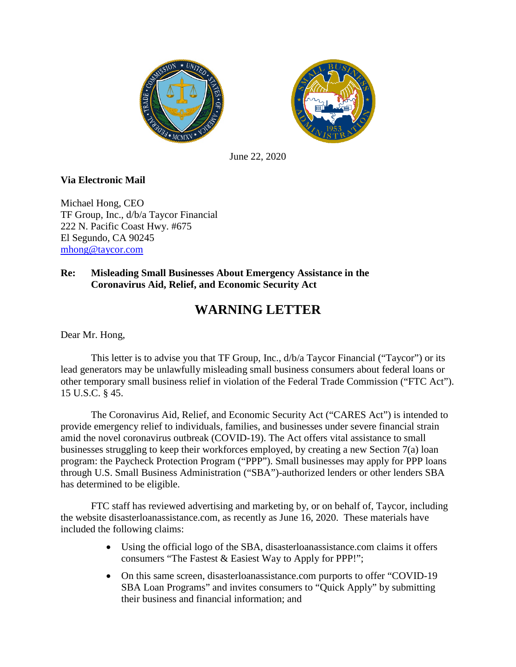



June 22, 2020

## **Via Electronic Mail**

Michael Hong, CEO TF Group, Inc., d/b/a Taycor Financial 222 N. Pacific Coast Hwy. #675 El Segundo, CA 90245 [mhong@taycor.com](mailto:mhong@taycor.com)

## **Re: Misleading Small Businesses About Emergency Assistance in the Coronavirus Aid, Relief, and Economic Security Act**

## **WARNING LETTER**

Dear Mr. Hong,

This letter is to advise you that TF Group, Inc., d/b/a Taycor Financial ("Taycor") or its lead generators may be unlawfully misleading small business consumers about federal loans or other temporary small business relief in violation of the Federal Trade Commission ("FTC Act"). 15 U.S.C. § 45.

The Coronavirus Aid, Relief, and Economic Security Act ("CARES Act") is intended to provide emergency relief to individuals, families, and businesses under severe financial strain amid the novel coronavirus outbreak (COVID-19). The Act offers vital assistance to small businesses struggling to keep their workforces employed, by creating a new Section 7(a) loan program: the Paycheck Protection Program ("PPP"). Small businesses may apply for PPP loans through U.S. Small Business Administration ("SBA")-authorized lenders or other lenders SBA has determined to be eligible.

FTC staff has reviewed advertising and marketing by, or on behalf of, Taycor, including the website disasterloanassistance.com, as recently as June 16, 2020. These materials have included the following claims:

- Using the official logo of the SBA, disasterloanassistance.com claims it offers consumers "The Fastest & Easiest Way to Apply for PPP!";
- On this same screen, disasterloanassistance.com purports to offer "COVID-19" SBA Loan Programs" and invites consumers to "Quick Apply" by submitting their business and financial information; and